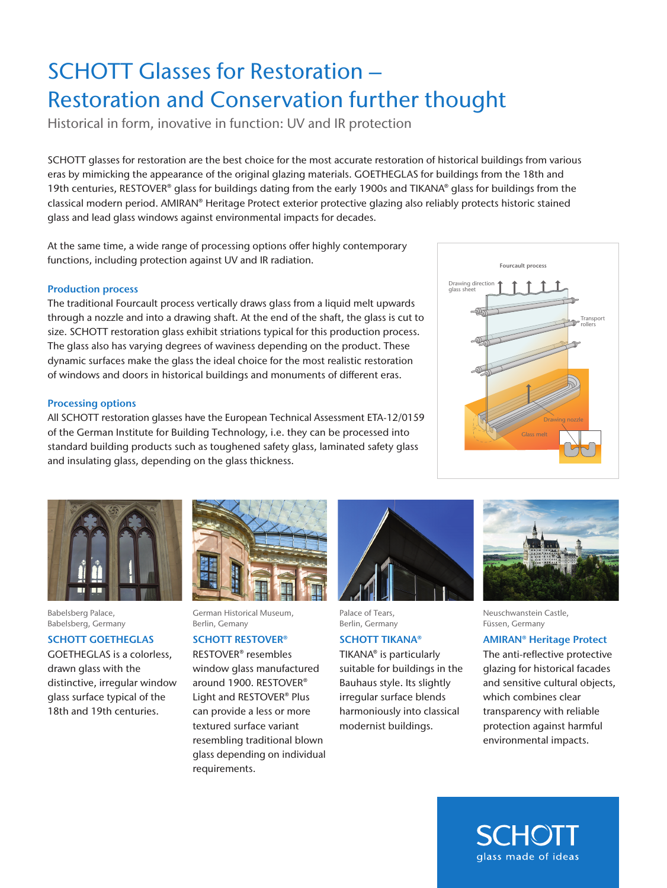# SCHOTT Glasses for Restoration – Restoration and Conservation further thought

Historical in form, inovative in function: UV and IR protection

SCHOTT glasses for restoration are the best choice for the most accurate restoration of historical buildings from various eras by mimicking the appearance of the original glazing materials. GOETHEGLAS for buildings from the 18th and 19th centuries, RESTOVER® glass for buildings dating from the early 1900s and TIKANA® glass for buildings from the classical modern period. AMIRAN® Heritage Protect exterior protective glazing also reliably protects historic stained glass and lead glass windows against environmental impacts for decades.

At the same time, a wide range of processing options offer highly contemporary functions, including protection against UV and IR radiation.

#### Production process

The traditional Fourcault process vertically draws glass from a liquid melt upwards through a nozzle and into a drawing shaft. At the end of the shaft, the glass is cut to size. SCHOTT restoration glass exhibit striations typical for this production process. The glass also has varying degrees of waviness depending on the product. These dynamic surfaces make the glass the ideal choice for the most realistic restoration of windows and doors in historical buildings and monuments of different eras.

#### Processing options

All SCHOTT restoration glasses have the European Technical Assessment ETA-12/0159 of the German Institute for Building Technology, i.e. they can be processed into standard building products such as toughened safety glass, laminated safety glass and insulating glass, depending on the glass thickness.



Babelsberg Palace, Babelsberg, Germany

#### SCHOTT GOETHEGLAS

GOETHEGLAS is a colorless, drawn glass with the distinctive, irregular window glass surface typical of the 18th and 19th centuries.



German Historical Museum, Berlin, Gemany

## SCHOTT RESTOVER®

RESTOVER® resembles window glass manufactured around 1900. RESTOVER® Light and RESTOVER® Plus can provide a less or more textured surface variant resembling traditional blown glass depending on individual requirements.



Palace of Tears, Berlin, Germany

## SCHOTT TIKANA®

TIKANA® is particularly suitable for buildings in the Bauhaus style. Its slightly irregular surface blends harmoniously into classical modernist buildings.





Neuschwanstein Castle, Füssen, Germany

#### AMIRAN® Heritage Protect

The anti-reflective protective glazing for historical facades and sensitive cultural objects, which combines clear transparency with reliable protection against harmful environmental impacts.

SCHOL glass made of ideas